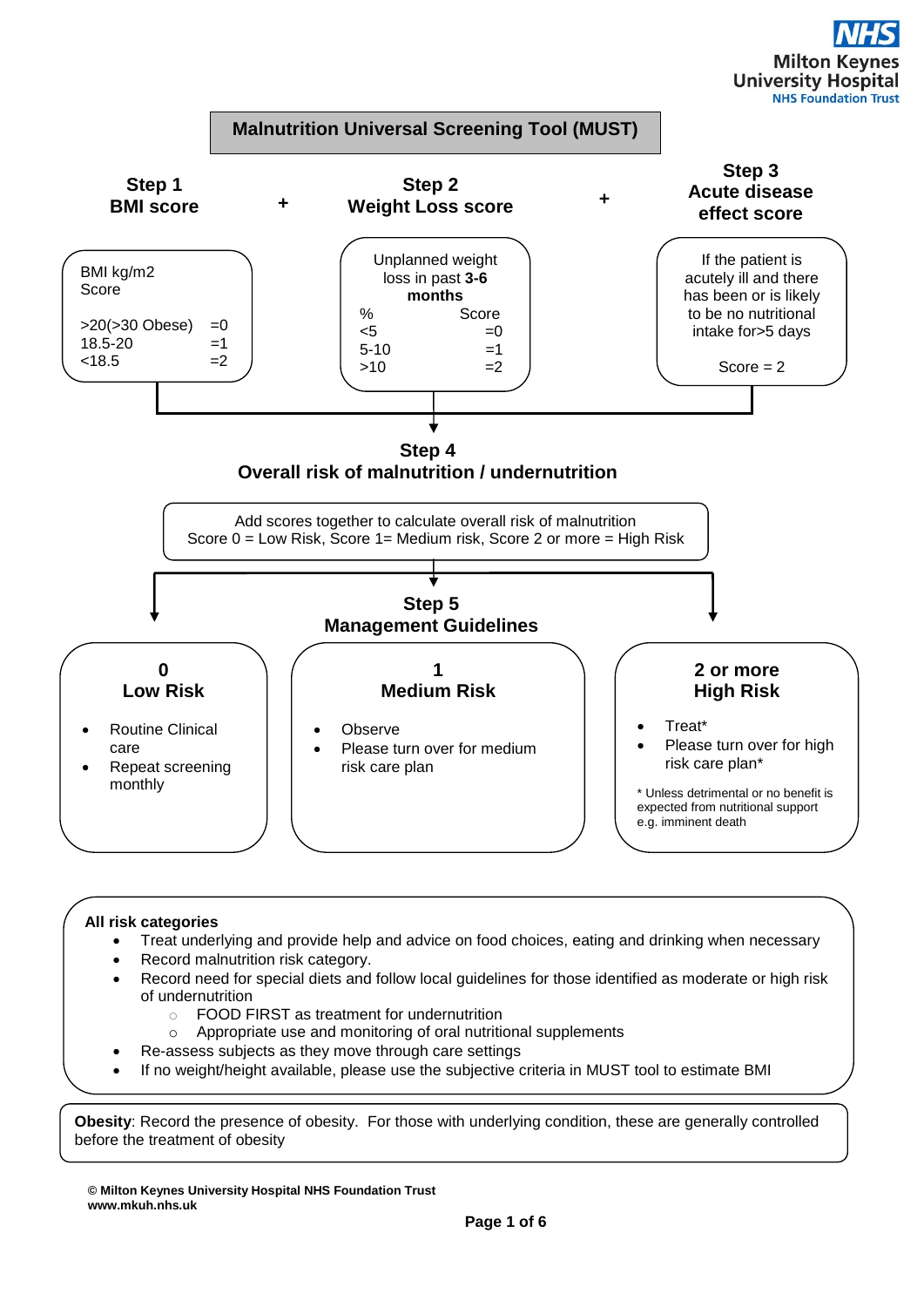

# **All risk categories**

- Treat underlying and provide help and advice on food choices, eating and drinking when necessary
- Record malnutrition risk category.
- Record need for special diets and follow local guidelines for those identified as moderate or high risk of undernutrition
	- o FOOD FIRST as treatment for undernutrition
	- o Appropriate use and monitoring of oral nutritional supplements
	- Re-assess subjects as they move through care settings
- If no weight/height available, please use the subjective criteria in MUST tool to estimate BMI

**Obesity**: Record the presence of obesity. For those with underlying condition, these are generally controlled before the treatment of obesity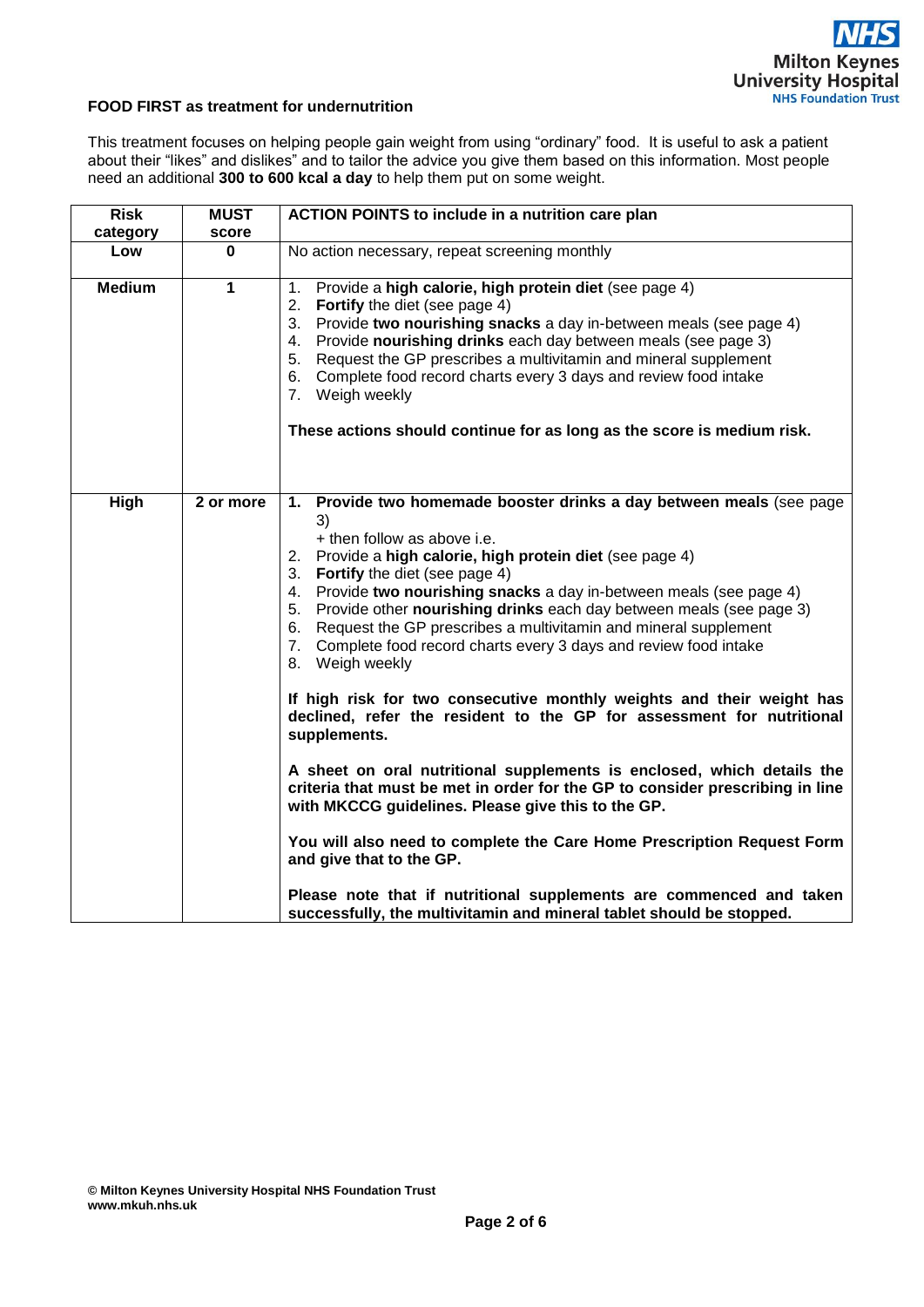## **FOOD FIRST as treatment for undernutrition**

This treatment focuses on helping people gain weight from using "ordinary" food. It is useful to ask a patient about their "likes" and dislikes" and to tailor the advice you give them based on this information. Most people need an additional **300 to 600 kcal a day** to help them put on some weight.

| <b>Risk</b>   | <b>MUST</b> | <b>ACTION POINTS to include in a nutrition care plan</b>                                                                                                                                                                                                                                                                                                                                                                                                                                                                                                                                                                                                                                                                                                                                                                                                                                                                                                                                                                                                                                                                                                            |  |  |
|---------------|-------------|---------------------------------------------------------------------------------------------------------------------------------------------------------------------------------------------------------------------------------------------------------------------------------------------------------------------------------------------------------------------------------------------------------------------------------------------------------------------------------------------------------------------------------------------------------------------------------------------------------------------------------------------------------------------------------------------------------------------------------------------------------------------------------------------------------------------------------------------------------------------------------------------------------------------------------------------------------------------------------------------------------------------------------------------------------------------------------------------------------------------------------------------------------------------|--|--|
| category      | score       |                                                                                                                                                                                                                                                                                                                                                                                                                                                                                                                                                                                                                                                                                                                                                                                                                                                                                                                                                                                                                                                                                                                                                                     |  |  |
| Low           | 0           | No action necessary, repeat screening monthly                                                                                                                                                                                                                                                                                                                                                                                                                                                                                                                                                                                                                                                                                                                                                                                                                                                                                                                                                                                                                                                                                                                       |  |  |
| <b>Medium</b> | 1           | 1. Provide a high calorie, high protein diet (see page 4)<br>2. Fortify the diet (see page 4)<br>3. Provide two nourishing snacks a day in-between meals (see page 4)<br>4. Provide nourishing drinks each day between meals (see page 3)<br>5. Request the GP prescribes a multivitamin and mineral supplement<br>6. Complete food record charts every 3 days and review food intake<br>7. Weigh weekly<br>These actions should continue for as long as the score is medium risk.                                                                                                                                                                                                                                                                                                                                                                                                                                                                                                                                                                                                                                                                                  |  |  |
| High          | 2 or more   | 1. Provide two homemade booster drinks a day between meals (see page<br>3)<br>+ then follow as above i.e.<br>2. Provide a high calorie, high protein diet (see page 4)<br>3. Fortify the diet (see page 4)<br>4. Provide two nourishing snacks a day in-between meals (see page 4)<br>5. Provide other nourishing drinks each day between meals (see page 3)<br>6. Request the GP prescribes a multivitamin and mineral supplement<br>7. Complete food record charts every 3 days and review food intake<br>8. Weigh weekly<br>If high risk for two consecutive monthly weights and their weight has<br>declined, refer the resident to the GP for assessment for nutritional<br>supplements.<br>A sheet on oral nutritional supplements is enclosed, which details the<br>criteria that must be met in order for the GP to consider prescribing in line<br>with MKCCG guidelines. Please give this to the GP.<br>You will also need to complete the Care Home Prescription Request Form<br>and give that to the GP.<br>Please note that if nutritional supplements are commenced and taken<br>successfully, the multivitamin and mineral tablet should be stopped. |  |  |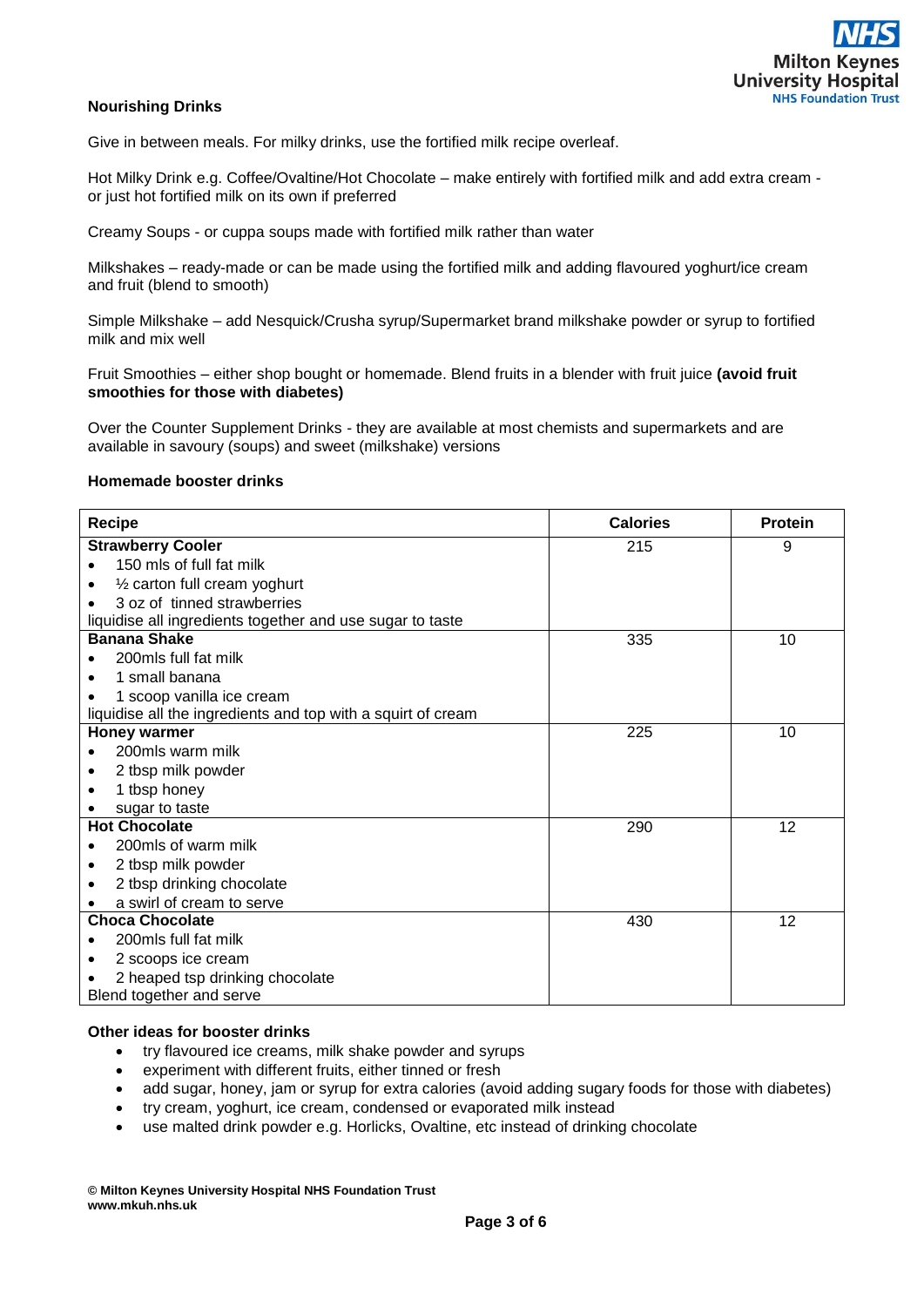

## **Nourishing Drinks**

Give in between meals. For milky drinks, use the fortified milk recipe overleaf.

Hot Milky Drink e.g. Coffee/Ovaltine/Hot Chocolate – make entirely with fortified milk and add extra cream or just hot fortified milk on its own if preferred

Creamy Soups - or cuppa soups made with fortified milk rather than water

Milkshakes – ready-made or can be made using the fortified milk and adding flavoured yoghurt/ice cream and fruit (blend to smooth)

Simple Milkshake – add Nesquick/Crusha syrup/Supermarket brand milkshake powder or syrup to fortified milk and mix well

Fruit Smoothies – either shop bought or homemade. Blend fruits in a blender with fruit juice **(avoid fruit smoothies for those with diabetes)**

Over the Counter Supplement Drinks *-* they are available at most chemists and supermarkets and are available in savoury (soups) and sweet (milkshake) versions

#### **Homemade booster drinks**

| Recipe                                                       | <b>Calories</b> | <b>Protein</b> |
|--------------------------------------------------------------|-----------------|----------------|
| <b>Strawberry Cooler</b>                                     | 215             | 9              |
| 150 mls of full fat milk                                     |                 |                |
| 1/2 carton full cream yoghurt                                |                 |                |
| 3 oz of tinned strawberries                                  |                 |                |
| liquidise all ingredients together and use sugar to taste    |                 |                |
| <b>Banana Shake</b>                                          | 335             | 10             |
| 200mls full fat milk                                         |                 |                |
| 1 small banana                                               |                 |                |
| 1 scoop vanilla ice cream                                    |                 |                |
| liquidise all the ingredients and top with a squirt of cream |                 |                |
| Honey warmer                                                 | 225             | 10             |
| 200mls warm milk                                             |                 |                |
| 2 tbsp milk powder                                           |                 |                |
| 1 tbsp honey                                                 |                 |                |
| sugar to taste                                               |                 |                |
| <b>Hot Chocolate</b>                                         | 290             | 12             |
| 200mls of warm milk                                          |                 |                |
| 2 tbsp milk powder                                           |                 |                |
| 2 tbsp drinking chocolate                                    |                 |                |
| a swirl of cream to serve                                    |                 |                |
| <b>Choca Chocolate</b>                                       | 430             | 12             |
| 200mls full fat milk                                         |                 |                |
| 2 scoops ice cream                                           |                 |                |
| 2 heaped tsp drinking chocolate                              |                 |                |
| Blend together and serve                                     |                 |                |

# **Other ideas for booster drinks**

- try flavoured ice creams, milk shake powder and syrups
- experiment with different fruits, either tinned or fresh
- add sugar, honey, jam or syrup for extra calories (avoid adding sugary foods for those with diabetes)
- try cream, yoghurt, ice cream, condensed or evaporated milk instead
- use malted drink powder e.g. Horlicks, Ovaltine, etc instead of drinking chocolate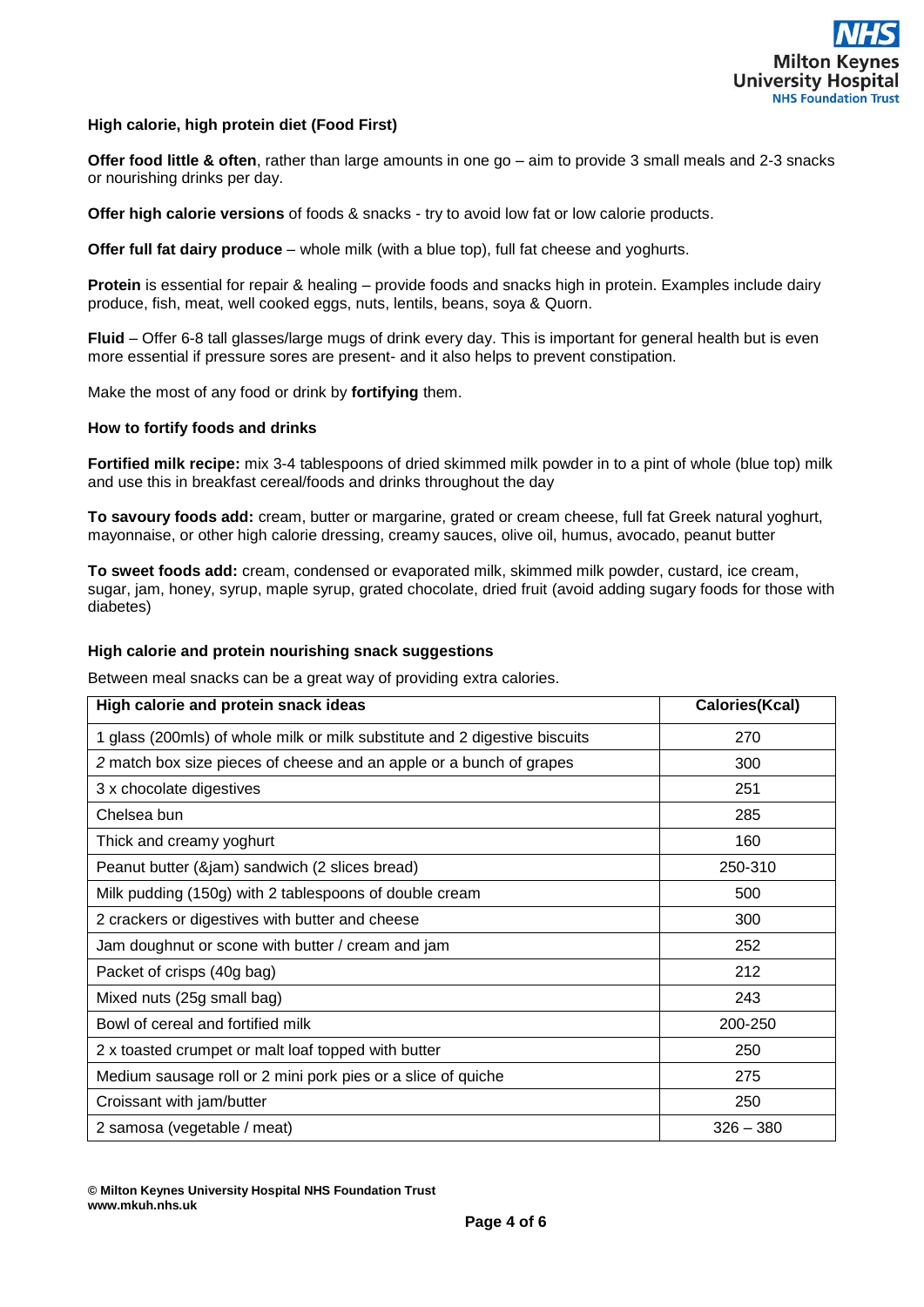

## **High calorie, high protein diet (Food First)**

**Offer food little & often**, rather than large amounts in one go – aim to provide 3 small meals and 2-3 snacks or nourishing drinks per day.

**Offer high calorie versions** of foods & snacks - try to avoid low fat or low calorie products.

**Offer full fat dairy produce** – whole milk (with a blue top), full fat cheese and yoghurts.

**Protein** is essential for repair & healing – provide foods and snacks high in protein. Examples include dairy produce, fish, meat, well cooked eggs, nuts, lentils, beans, soya & Quorn.

**Fluid** – Offer 6-8 tall glasses/large mugs of drink every day. This is important for general health but is even more essential if pressure sores are present- and it also helps to prevent constipation.

Make the most of any food or drink by **fortifying** them.

#### **How to fortify foods and drinks**

**Fortified milk recipe:** mix 3-4 tablespoons of dried skimmed milk powder in to a pint of whole (blue top) milk and use this in breakfast cereal/foods and drinks throughout the day

**To savoury foods add:** cream, butter or margarine, grated or cream cheese, full fat Greek natural yoghurt, mayonnaise, or other high calorie dressing, creamy sauces, olive oil, humus, avocado, peanut butter

**To sweet foods add:** cream, condensed or evaporated milk, skimmed milk powder, custard, ice cream, sugar, jam, honey, syrup, maple syrup, grated chocolate, dried fruit (avoid adding sugary foods for those with diabetes)

#### **High calorie and protein nourishing snack suggestions**

Between meal snacks can be a great way of providing extra calories.

| High calorie and protein snack ideas                                       | Calories(Kcal) |
|----------------------------------------------------------------------------|----------------|
| 1 glass (200mls) of whole milk or milk substitute and 2 digestive biscuits | 270            |
| 2 match box size pieces of cheese and an apple or a bunch of grapes        | 300            |
| 3 x chocolate digestives                                                   | 251            |
| Chelsea bun                                                                | 285            |
| Thick and creamy yoghurt                                                   | 160            |
| Peanut butter (&jam) sandwich (2 slices bread)                             | 250-310        |
| Milk pudding (150g) with 2 tablespoons of double cream                     | 500            |
| 2 crackers or digestives with butter and cheese                            | 300            |
| Jam doughnut or scone with butter / cream and jam                          | 252            |
| Packet of crisps (40g bag)                                                 | 212            |
| Mixed nuts (25g small bag)                                                 | 243            |
| Bowl of cereal and fortified milk                                          | 200-250        |
| 2 x toasted crumpet or malt loaf topped with butter                        | 250            |
| Medium sausage roll or 2 mini pork pies or a slice of quiche               | 275            |
| Croissant with jam/butter                                                  | 250            |
| 2 samosa (vegetable / meat)                                                | $326 - 380$    |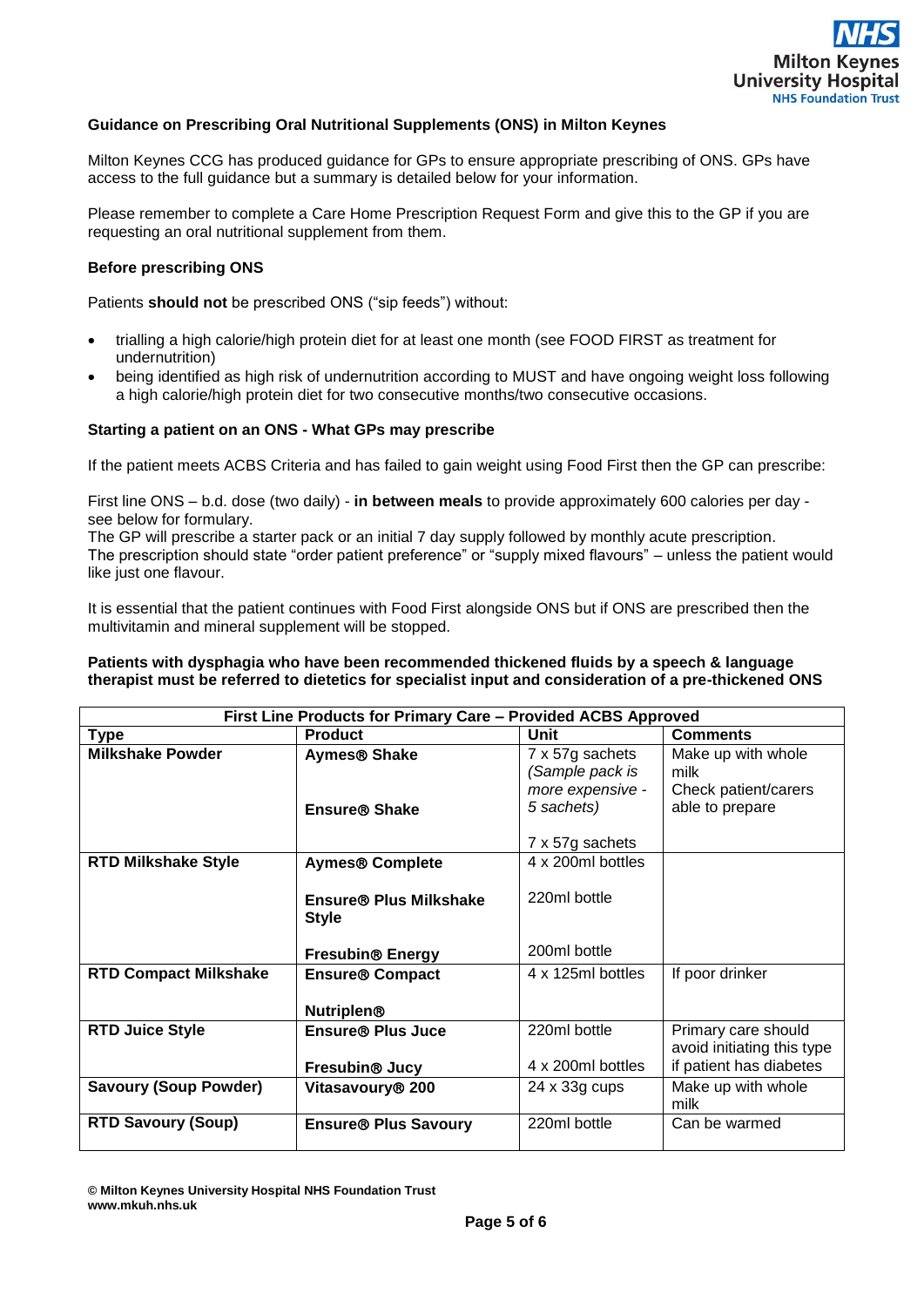

## **Guidance on Prescribing Oral Nutritional Supplements (ONS) in Milton Keynes**

Milton Keynes CCG has produced guidance for GPs to ensure appropriate prescribing of ONS. GPs have access to the full guidance but a summary is detailed below for your information.

Please remember to complete a Care Home Prescription Request Form and give this to the GP if you are requesting an oral nutritional supplement from them.

## **Before prescribing ONS**

Patients **should not** be prescribed ONS ("sip feeds") without:

- trialling a high calorie/high protein diet for at least one month (see FOOD FIRST as treatment for undernutrition)
- being identified as high risk of undernutrition according to MUST and have ongoing weight loss following a high calorie/high protein diet for two consecutive months/two consecutive occasions.

#### **Starting a patient on an ONS - What GPs may prescribe**

If the patient meets ACBS Criteria and has failed to gain weight using Food First then the GP can prescribe:

First line ONS – b.d. dose (two daily) - **in between meals** to provide approximately 600 calories per day see below for formulary.

The GP will prescribe a starter pack or an initial 7 day supply followed by monthly acute prescription. The prescription should state "order patient preference" or "supply mixed flavours" – unless the patient would like just one flavour.

It is essential that the patient continues with Food First alongside ONS but if ONS are prescribed then the multivitamin and mineral supplement will be stopped.

#### **Patients with dysphagia who have been recommended thickened fluids by a speech & language therapist must be referred to dietetics for specialist input and consideration of a pre-thickened ONS**

| First Line Products for Primary Care - Provided ACBS Approved |                                             |                                                        |                                                    |  |  |
|---------------------------------------------------------------|---------------------------------------------|--------------------------------------------------------|----------------------------------------------------|--|--|
| Type                                                          | <b>Product</b>                              | Unit                                                   | <b>Comments</b>                                    |  |  |
| <b>Milkshake Powder</b>                                       | Aymes <sup>®</sup> Shake                    | 7 x 57g sachets<br>(Sample pack is<br>more expensive - | Make up with whole<br>milk<br>Check patient/carers |  |  |
|                                                               | <b>Ensure® Shake</b>                        | 5 sachets)                                             | able to prepare                                    |  |  |
|                                                               |                                             | 7 x 57g sachets                                        |                                                    |  |  |
| <b>RTD Milkshake Style</b>                                    | <b>Aymes® Complete</b>                      | 4 x 200ml bottles                                      |                                                    |  |  |
|                                                               | Ensure® Plus Milkshake<br><b>Style</b>      | 220ml bottle                                           |                                                    |  |  |
|                                                               | <b>Fresubin® Energy</b>                     | 200ml bottle                                           |                                                    |  |  |
| <b>RTD Compact Milkshake</b>                                  | <b>Ensure® Compact</b><br><b>Nutriplen®</b> | 4 x 125ml bottles                                      | If poor drinker                                    |  |  |
|                                                               |                                             |                                                        |                                                    |  |  |
| <b>RTD Juice Style</b>                                        | <b>Ensure® Plus Juce</b>                    | 220ml bottle                                           | Primary care should<br>avoid initiating this type  |  |  |
|                                                               | Fresubin <sup>®</sup> Jucy                  | 4 x 200ml bottles                                      | if patient has diabetes                            |  |  |
| <b>Savoury (Soup Powder)</b>                                  | Vitasavoury <sup>®</sup> 200                | 24 x 33g cups                                          | Make up with whole<br>milk                         |  |  |
| <b>RTD Savoury (Soup)</b>                                     | <b>Ensure® Plus Savoury</b>                 | 220ml bottle                                           | Can be warmed                                      |  |  |

**© Milton Keynes University Hospital NHS Foundation Trust www.mkuh.nhs.uk**